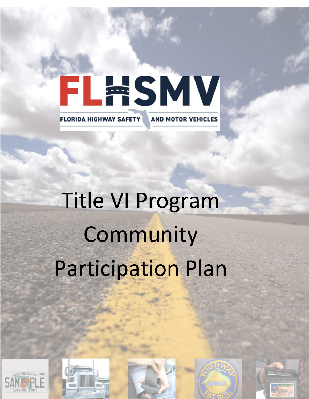# FLWSMV **FLORIDA HIGHWAY SAFETY AND MOTOR VEHICLES**

# Title VI Program Community Participation Plan









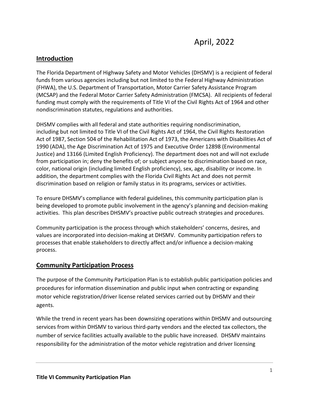# **Introduction**

The Florida Department of Highway Safety and Motor Vehicles (DHSMV) is a recipient of federal funds from various agencies including but not limited to the Federal Highway Administration (FHWA), the U.S. Department of Transportation, Motor Carrier Safety Assistance Program (MCSAP) and the Federal Motor Carrier Safety Administration (FMCSA). All recipients of federal funding must comply with the requirements of Title VI of the Civil Rights Act of 1964 and other nondiscrimination statutes, regulations and authorities.

DHSMV complies with all federal and state authorities requiring nondiscrimination, including but not limited to Title VI of the Civil Rights Act of 1964, the Civil Rights Restoration Act of 1987, Section 504 of the Rehabilitation Act of 1973, the Americans with Disabilities Act of 1990 (ADA), the Age Discrimination Act of 1975 and Executive Order 12898 (Environmental Justice) and 13166 (Limited English Proficiency). The department does not and will not exclude from participation in; deny the benefits of; or subject anyone to discrimination based on race, color, national origin (including limited English proficiency), sex, age, disability or income. In addition, the department complies with the Florida Civil Rights Act and does not permit discrimination based on religion or family status in its programs, services or activities.

To ensure DHSMV's compliance with federal guidelines, this community participation plan is being developed to promote public involvement in the agency's planning and decision-making activities. This plan describes DHSMV's proactive public outreach strategies and procedures.

Community participation is the process through which stakeholders' concerns, desires, and values are incorporated into decision-making at DHSMV. Community participation refers to processes that enable stakeholders to directly affect and/or influence a decision-making process.

## **Community Participation Process**

The purpose of the Community Participation Plan is to establish public participation policies and procedures for information dissemination and public input when contracting or expanding motor vehicle registration/driver license related services carried out by DHSMV and their agents.

While the trend in recent years has been downsizing operations within DHSMV and outsourcing services from within DHSMV to various third-party vendors and the elected tax collectors, the number of service facilities actually available to the public have increased. DHSMV maintains responsibility for the administration of the motor vehicle registration and driver licensing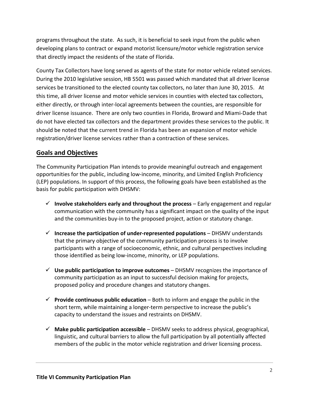programs throughout the state. As such, it is beneficial to seek input from the public when developing plans to contract or expand motorist licensure/motor vehicle registration service that directly impact the residents of the state of Florida.

County Tax Collectors have long served as agents of the state for motor vehicle related services. During the 2010 legislative session, HB 5501 was passed which mandated that all driver license services be transitioned to the elected county tax collectors, no later than June 30, 2015. At this time, all driver license and motor vehicle services in counties with elected tax collectors, either directly, or through inter-local agreements between the counties, are responsible for driver license issuance. There are only two counties in Florida, Broward and Miami-Dade that do not have elected tax collectors and the department provides these services to the public. It should be noted that the current trend in Florida has been an expansion of motor vehicle registration/driver license services rather than a contraction of these services.

# **Goals and Objectives**

The Community Participation Plan intends to provide meaningful outreach and engagement opportunities for the public, including low-income, minority, and Limited English Proficiency (LEP) populations. In support of this process, the following goals have been established as the basis for public participation with DHSMV:

- $\checkmark$  Involve stakeholders early and throughout the process  $-$  Early engagement and regular communication with the community has a significant impact on the quality of the input and the communities buy-in to the proposed project, action or statutory change.
- **Increase the participation of under‐represented populations**  DHSMV understands that the primary objective of the community participation process is to involve participants with a range of socioeconomic, ethnic, and cultural perspectives including those identified as being low-income, minority, or LEP populations.
- **Use public participation to improve outcomes**  DHSMV recognizes the importance of community participation as an input to successful decision making for projects, proposed policy and procedure changes and statutory changes.
- **Provide continuous public education**  Both to inform and engage the public in the short term, while maintaining a longer-term perspective to increase the public's capacity to understand the issues and restraints on DHSMV.
- **Make public participation accessible**  DHSMV seeks to address physical, geographical, linguistic, and cultural barriers to allow the full participation by all potentially affected members of the public in the motor vehicle registration and driver licensing process.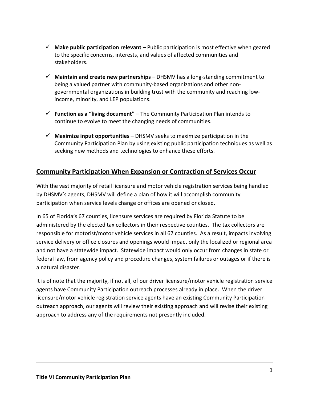- $\checkmark$  Make public participation relevant Public participation is most effective when geared to the specific concerns, interests, and values of affected communities and stakeholders.
- $\checkmark$  **Maintain and create new partnerships** DHSMV has a long-standing commitment to being a valued partner with community-based organizations and other nongovernmental organizations in building trust with the community and reaching lowincome, minority, and LEP populations.
- **Function as a "living document"**  The Community Participation Plan intends to continue to evolve to meet the changing needs of communities.
- **Maximize input opportunities**  DHSMV seeks to maximize participation in the Community Participation Plan by using existing public participation techniques as well as seeking new methods and technologies to enhance these efforts.

# **Community Participation When Expansion or Contraction of Services Occur**

With the vast majority of retail licensure and motor vehicle registration services being handled by DHSMV's agents, DHSMV will define a plan of how it will accomplish community participation when service levels change or offices are opened or closed.

In 65 of Florida's 67 counties, licensure services are required by Florida Statute to be administered by the elected tax collectors in their respective counties. The tax collectors are responsible for motorist/motor vehicle services in all 67 counties. As a result, impacts involving service delivery or office closures and openings would impact only the localized or regional area and not have a statewide impact. Statewide impact would only occur from changes in state or federal law, from agency policy and procedure changes, system failures or outages or if there is a natural disaster.

It is of note that the majority, if not all, of our driver licensure/motor vehicle registration service agents have Community Participation outreach processes already in place. When the driver licensure/motor vehicle registration service agents have an existing Community Participation outreach approach, our agents will review their existing approach and will revise their existing approach to address any of the requirements not presently included.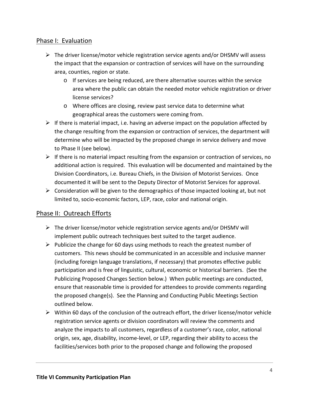## Phase I: Evaluation

- $\triangleright$  The driver license/motor vehicle registration service agents and/or DHSMV will assess the impact that the expansion or contraction of services will have on the surrounding area, counties, region or state.
	- o If services are being reduced, are there alternative sources within the service area where the public can obtain the needed motor vehicle registration or driver license services?
	- o Where offices are closing, review past service data to determine what geographical areas the customers were coming from.
- $\triangleright$  If there is material impact, i.e. having an adverse impact on the population affected by the change resulting from the expansion or contraction of services, the department will determine who will be impacted by the proposed change in service delivery and move to Phase II (see below).
- $\triangleright$  If there is no material impact resulting from the expansion or contraction of services, no additional action is required. This evaluation will be documented and maintained by the Division Coordinators, i.e. Bureau Chiefs, in the Division of Motorist Services. Once documented it will be sent to the Deputy Director of Motorist Services for approval.
- $\triangleright$  Consideration will be given to the demographics of those impacted looking at, but not limited to, socio-economic factors, LEP, race, color and national origin.

# Phase II: Outreach Efforts

- $\triangleright$  The driver license/motor vehicle registration service agents and/or DHSMV will implement public outreach techniques best suited to the target audience.
- $\triangleright$  Publicize the change for 60 days using methods to reach the greatest number of customers. This news should be communicated in an accessible and inclusive manner (including foreign language translations, if necessary) that promotes effective public participation and is free of linguistic, cultural, economic or historical barriers. (See the Publicizing Proposed Changes Section below.) When public meetings are conducted, ensure that reasonable time is provided for attendees to provide comments regarding the proposed change(s). See the Planning and Conducting Public Meetings Section outlined below.
- $\triangleright$  Within 60 days of the conclusion of the outreach effort, the driver license/motor vehicle registration service agents or division coordinators will review the comments and analyze the impacts to all customers, regardless of a customer's race, color, national origin, sex, age, disability, income-level, or LEP, regarding their ability to access the facilities/services both prior to the proposed change and following the proposed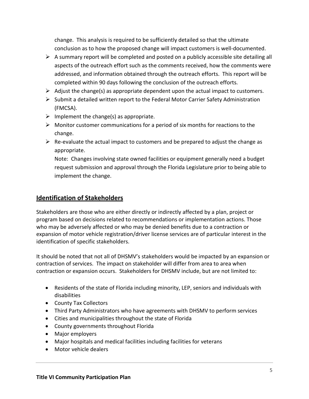change. This analysis is required to be sufficiently detailed so that the ultimate conclusion as to how the proposed change will impact customers is well-documented.

- $\triangleright$  A summary report will be completed and posted on a publicly accessible site detailing all aspects of the outreach effort such as the comments received, how the comments were addressed, and information obtained through the outreach efforts. This report will be completed within 90 days following the conclusion of the outreach efforts.
- $\triangleright$  Adjust the change(s) as appropriate dependent upon the actual impact to customers.
- $\triangleright$  Submit a detailed written report to the Federal Motor Carrier Safety Administration (FMCSA).
- $\triangleright$  Implement the change(s) as appropriate.
- $\triangleright$  Monitor customer communications for a period of six months for reactions to the change.
- $\triangleright$  Re-evaluate the actual impact to customers and be prepared to adjust the change as appropriate.

Note: Changes involving state owned facilities or equipment generally need a budget request submission and approval through the Florida Legislature prior to being able to implement the change.

# **Identification of Stakeholders**

Stakeholders are those who are either directly or indirectly affected by a plan, project or program based on decisions related to recommendations or implementation actions. Those who may be adversely affected or who may be denied benefits due to a contraction or expansion of motor vehicle registration/driver license services are of particular interest in the identification of specific stakeholders.

It should be noted that not all of DHSMV's stakeholders would be impacted by an expansion or contraction of services. The impact on stakeholder will differ from area to area when contraction or expansion occurs. Stakeholders for DHSMV include, but are not limited to:

- Residents of the state of Florida including minority, LEP, seniors and individuals with disabilities
- County Tax Collectors
- Third Party Administrators who have agreements with DHSMV to perform services
- Cities and municipalities throughout the state of Florida
- County governments throughout Florida
- Major employers
- Major hospitals and medical facilities including facilities for veterans
- Motor vehicle dealers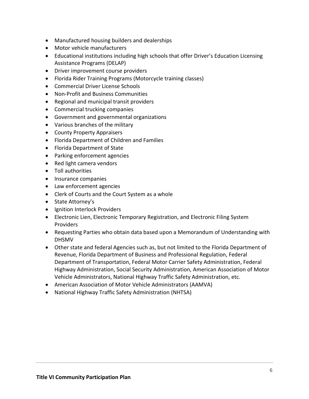- Manufactured housing builders and dealerships
- Motor vehicle manufacturers
- Educational institutions including high schools that offer Driver's Education Licensing Assistance Programs (DELAP)
- Driver improvement course providers
- Florida Rider Training Programs (Motorcycle training classes)
- Commercial Driver License Schools
- Non-Profit and Business Communities
- Regional and municipal transit providers
- Commercial trucking companies
- Government and governmental organizations
- Various branches of the military
- County Property Appraisers
- Florida Department of Children and Families
- Florida Department of State
- Parking enforcement agencies
- Red light camera vendors
- Toll authorities
- Insurance companies
- Law enforcement agencies
- Clerk of Courts and the Court System as a whole
- State Attorney's
- Ignition Interlock Providers
- Electronic Lien, Electronic Temporary Registration, and Electronic Filing System Providers
- Requesting Parties who obtain data based upon a Memorandum of Understanding with DHSMV
- Other state and federal Agencies such as, but not limited to the Florida Department of Revenue, Florida Department of Business and Professional Regulation, Federal Department of Transportation, Federal Motor Carrier Safety Administration, Federal Highway Administration, Social Security Administration, American Association of Motor Vehicle Administrators, National Highway Traffic Safety Administration, etc.
- American Association of Motor Vehicle Administrators (AAMVA)
- National Highway Traffic Safety Administration (NHTSA)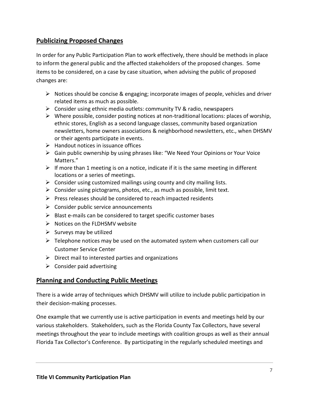# **Publicizing Proposed Changes**

In order for any Public Participation Plan to work effectively, there should be methods in place to inform the general public and the affected stakeholders of the proposed changes. Some items to be considered, on a case by case situation, when advising the public of proposed changes are:

- $\triangleright$  Notices should be concise & engaging; incorporate images of people, vehicles and driver related items as much as possible.
- $\triangleright$  Consider using ethnic media outlets: community TV & radio, newspapers
- $\triangleright$  Where possible, consider posting notices at non-traditional locations: places of worship, ethnic stores, English as a second language classes, community based organization newsletters, home owners associations & neighborhood newsletters, etc., when DHSMV or their agents participate in events.
- $\triangleright$  Handout notices in issuance offices
- Gain public ownership by using phrases like: "We Need Your Opinions or Your Voice Matters."
- $\triangleright$  If more than 1 meeting is on a notice, indicate if it is the same meeting in different locations or a series of meetings.
- $\triangleright$  Consider using customized mailings using county and city mailing lists.
- $\triangleright$  Consider using pictograms, photos, etc., as much as possible, limit text.
- $\triangleright$  Press releases should be considered to reach impacted residents
- $\triangleright$  Consider public service announcements
- $\triangleright$  Blast e-mails can be considered to target specific customer bases
- $\triangleright$  Notices on the FLDHSMV website
- $\triangleright$  Surveys may be utilized
- $\triangleright$  Telephone notices may be used on the automated system when customers call our Customer Service Center
- $\triangleright$  Direct mail to interested parties and organizations
- $\triangleright$  Consider paid advertising

# **Planning and Conducting Public Meetings**

There is a wide array of techniques which DHSMV will utilize to include public participation in their decision-making processes.

One example that we currently use is active participation in events and meetings held by our various stakeholders. Stakeholders, such as the Florida County Tax Collectors, have several meetings throughout the year to include meetings with coalition groups as well as their annual Florida Tax Collector's Conference. By participating in the regularly scheduled meetings and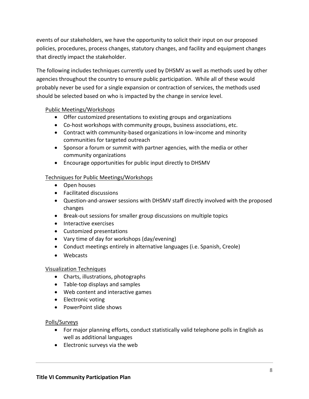events of our stakeholders, we have the opportunity to solicit their input on our proposed policies, procedures, process changes, statutory changes, and facility and equipment changes that directly impact the stakeholder.

The following includes techniques currently used by DHSMV as well as methods used by other agencies throughout the country to ensure public participation. While all of these would probably never be used for a single expansion or contraction of services, the methods used should be selected based on who is impacted by the change in service level.

#### Public Meetings/Workshops

- Offer customized presentations to existing groups and organizations
- Co-host workshops with community groups, business associations, etc.
- Contract with community-based organizations in low-income and minority communities for targeted outreach
- Sponsor a forum or summit with partner agencies, with the media or other community organizations
- Encourage opportunities for public input directly to DHSMV

#### Techniques for Public Meetings/Workshops

- Open houses
- Facilitated discussions
- Question-and-answer sessions with DHSMV staff directly involved with the proposed changes
- Break-out sessions for smaller group discussions on multiple topics
- Interactive exercises
- Customized presentations
- Vary time of day for workshops (day/evening)
- Conduct meetings entirely in alternative languages (i.e. Spanish, Creole)
- Webcasts

#### Visualization Techniques

- Charts, illustrations, photographs
- Table-top displays and samples
- Web content and interactive games
- Electronic voting
- PowerPoint slide shows

#### Polls/Surveys

- For major planning efforts, conduct statistically valid telephone polls in English as well as additional languages
- Electronic surveys via the web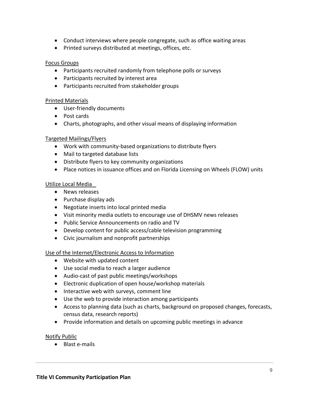- Conduct interviews where people congregate, such as office waiting areas
- Printed surveys distributed at meetings, offices, etc.

#### Focus Groups

- Participants recruited randomly from telephone polls or surveys
- Participants recruited by interest area
- Participants recruited from stakeholder groups

#### Printed Materials

- User-friendly documents
- Post cards
- Charts, photographs, and other visual means of displaying information

#### Targeted Mailings/Flyers

- Work with community-based organizations to distribute flyers
- Mail to targeted database lists
- Distribute flyers to key community organizations
- Place notices in issuance offices and on Florida Licensing on Wheels (FLOW) units

#### Utilize Local Media

- News releases
- Purchase display ads
- Negotiate inserts into local printed media
- Visit minority media outlets to encourage use of DHSMV news releases
- Public Service Announcements on radio and TV
- Develop content for public access/cable television programming
- Civic journalism and nonprofit partnerships

#### Use of the Internet/Electronic Access to Information

- Website with updated content
- Use social media to reach a larger audience
- Audio-cast of past public meetings/workshops
- Electronic duplication of open house/workshop materials
- Interactive web with surveys, comment line
- Use the web to provide interaction among participants
- Access to planning data (such as charts, background on proposed changes, forecasts, census data, research reports)
- Provide information and details on upcoming public meetings in advance

#### Notify Public

• Blast e-mails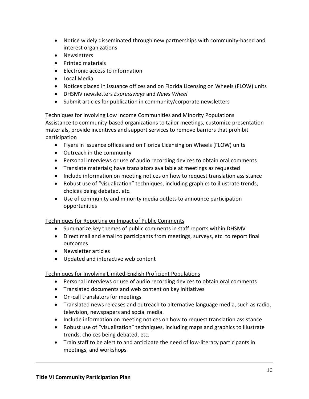- Notice widely disseminated through new partnerships with community-based and interest organizations
- Newsletters
- Printed materials
- Electronic access to information
- Local Media
- Notices placed in issuance offices and on Florida Licensing on Wheels (FLOW) units
- DHSMV newsletters *Expressways* and *News Wheel*
- Submit articles for publication in community/corporate newsletters

Techniques for Involving Low Income Communities and Minority Populations

Assistance to community-based organizations to tailor meetings, customize presentation materials, provide incentives and support services to remove barriers that prohibit participation

- Flyers in issuance offices and on Florida Licensing on Wheels (FLOW) units
- Outreach in the community
- Personal interviews or use of audio recording devices to obtain oral comments
- Translate materials; have translators available at meetings as requested
- Include information on meeting notices on how to request translation assistance
- Robust use of "visualization" techniques, including graphics to illustrate trends, choices being debated, etc.
- Use of community and minority media outlets to announce participation opportunities

Techniques for Reporting on Impact of Public Comments

- Summarize key themes of public comments in staff reports within DHSMV
- Direct mail and email to participants from meetings, surveys, etc. to report final outcomes
- Newsletter articles
- Updated and interactive web content

Techniques for Involving Limited-English Proficient Populations

- Personal interviews or use of audio recording devices to obtain oral comments
- Translated documents and web content on key initiatives
- On-call translators for meetings
- Translated news releases and outreach to alternative language media, such as radio, television, newspapers and social media.
- Include information on meeting notices on how to request translation assistance
- Robust use of "visualization" techniques, including maps and graphics to illustrate trends, choices being debated, etc.
- Train staff to be alert to and anticipate the need of low-literacy participants in meetings, and workshops